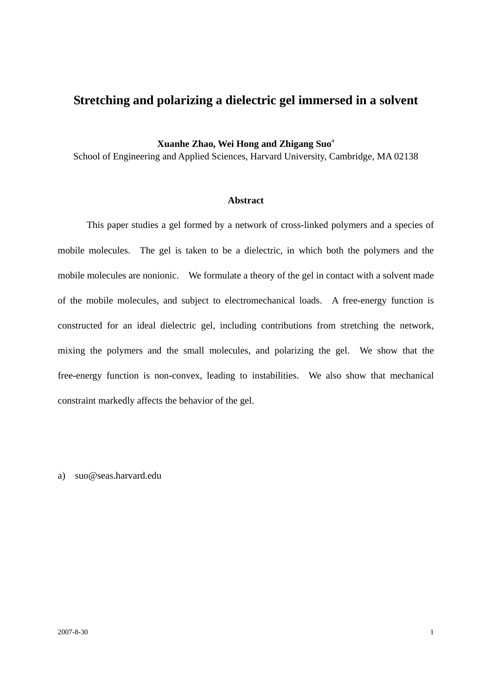## **Stretching and polarizing a dielectric gel immersed in a solvent**

**Xuanhe Zhao, Wei Hong and Zhigang Suo**<sup>a</sup>

School of Engineering and Applied Sciences, Harvard University, Cambridge, MA 02138

## **Abstract**

 This paper studies a gel formed by a network of cross-linked polymers and a species of mobile molecules. The gel is taken to be a dielectric, in which both the polymers and the mobile molecules are nonionic. We formulate a theory of the gel in contact with a solvent made of the mobile molecules, and subject to electromechanical loads. A free-energy function is constructed for an ideal dielectric gel, including contributions from stretching the network, mixing the polymers and the small molecules, and polarizing the gel. We show that the free-energy function is non-convex, leading to instabilities. We also show that mechanical constraint markedly affects the behavior of the gel.

a) suo@seas.harvard.edu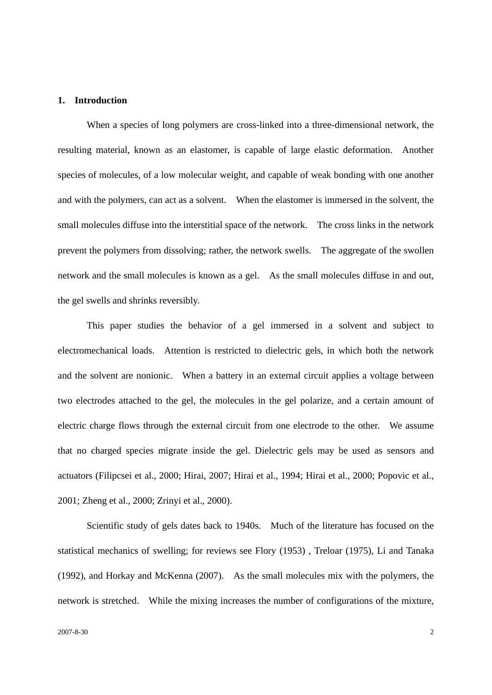#### **1. Introduction**

 When a species of long polymers are cross-linked into a three-dimensional network, the resulting material, known as an elastomer, is capable of large elastic deformation. Another species of molecules, of a low molecular weight, and capable of weak bonding with one another and with the polymers, can act as a solvent. When the elastomer is immersed in the solvent, the small molecules diffuse into the interstitial space of the network. The cross links in the network prevent the polymers from dissolving; rather, the network swells. The aggregate of the swollen network and the small molecules is known as a gel. As the small molecules diffuse in and out, the gel swells and shrinks reversibly.

 This paper studies the behavior of a gel immersed in a solvent and subject to electromechanical loads. Attention is restricted to dielectric gels, in which both the network and the solvent are nonionic. When a battery in an external circuit applies a voltage between two electrodes attached to the gel, the molecules in the gel polarize, and a certain amount of electric charge flows through the external circuit from one electrode to the other. We assume that no charged species migrate inside the gel. Dielectric gels may be used as sensors and actuators (Filipcsei et al., 2000; Hirai, 2007; Hirai et al., 1994; Hirai et al., 2000; Popovic et al., 2001; Zheng et al., 2000; Zrinyi et al., 2000).

 Scientific study of gels dates back to 1940s. Much of the literature has focused on the statistical mechanics of swelling; for reviews see Flory (1953) , Treloar (1975), Li and Tanaka (1992), and Horkay and McKenna (2007). As the small molecules mix with the polymers, the network is stretched. While the mixing increases the number of configurations of the mixture,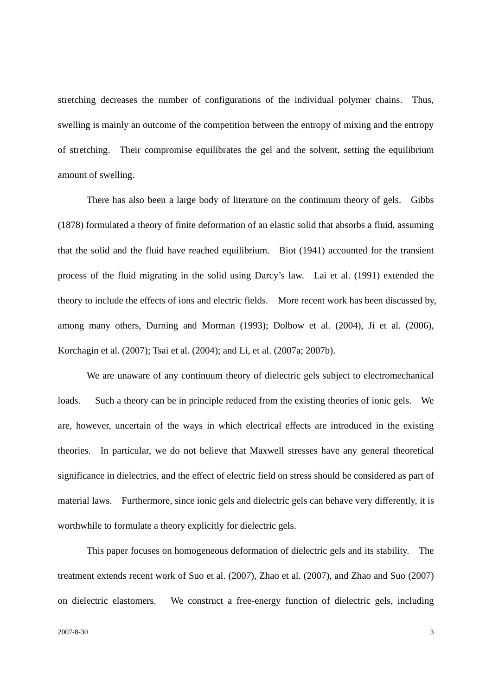stretching decreases the number of configurations of the individual polymer chains. Thus, swelling is mainly an outcome of the competition between the entropy of mixing and the entropy of stretching. Their compromise equilibrates the gel and the solvent, setting the equilibrium amount of swelling.

 There has also been a large body of literature on the continuum theory of gels. Gibbs (1878) formulated a theory of finite deformation of an elastic solid that absorbs a fluid, assuming that the solid and the fluid have reached equilibrium. Biot (1941) accounted for the transient process of the fluid migrating in the solid using Darcy's law. Lai et al. (1991) extended the theory to include the effects of ions and electric fields. More recent work has been discussed by, among many others, Durning and Morman (1993); Dolbow et al. (2004), Ji et al. (2006), Korchagin et al. (2007); Tsai et al. (2004); and Li, et al. (2007a; 2007b).

 We are unaware of any continuum theory of dielectric gels subject to electromechanical loads. Such a theory can be in principle reduced from the existing theories of ionic gels. We are, however, uncertain of the ways in which electrical effects are introduced in the existing theories. In particular, we do not believe that Maxwell stresses have any general theoretical significance in dielectrics, and the effect of electric field on stress should be considered as part of material laws. Furthermore, since ionic gels and dielectric gels can behave very differently, it is worthwhile to formulate a theory explicitly for dielectric gels.

 This paper focuses on homogeneous deformation of dielectric gels and its stability. The treatment extends recent work of Suo et al. (2007), Zhao et al. (2007), and Zhao and Suo (2007) on dielectric elastomers. We construct a free-energy function of dielectric gels, including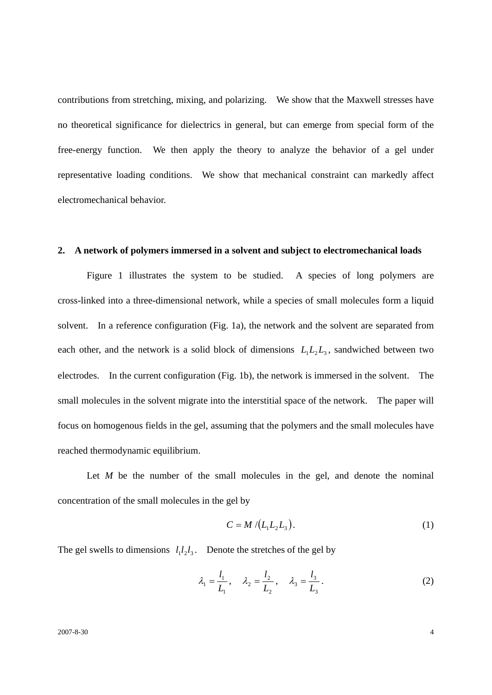contributions from stretching, mixing, and polarizing. We show that the Maxwell stresses have no theoretical significance for dielectrics in general, but can emerge from special form of the free-energy function. We then apply the theory to analyze the behavior of a gel under representative loading conditions. We show that mechanical constraint can markedly affect electromechanical behavior.

## **2. A network of polymers immersed in a solvent and subject to electromechanical loads**

 Figure 1 illustrates the system to be studied. A species of long polymers are cross-linked into a three-dimensional network, while a species of small molecules form a liquid solvent. In a reference configuration (Fig. 1a), the network and the solvent are separated from each other, and the network is a solid block of dimensions  $L_1L_2L_3$ , sandwiched between two electrodes. In the current configuration (Fig. 1b), the network is immersed in the solvent. The small molecules in the solvent migrate into the interstitial space of the network. The paper will focus on homogenous fields in the gel, assuming that the polymers and the small molecules have reached thermodynamic equilibrium.

Let *M* be the number of the small molecules in the gel, and denote the nominal concentration of the small molecules in the gel by

$$
C = M / (L_1 L_2 L_3).
$$
 (1)

The gel swells to dimensions  $l_1 l_2 l_3$ . Denote the stretches of the gel by

$$
\lambda_1 = \frac{l_1}{L_1}, \quad \lambda_2 = \frac{l_2}{L_2}, \quad \lambda_3 = \frac{l_3}{L_3}.
$$
\n(2)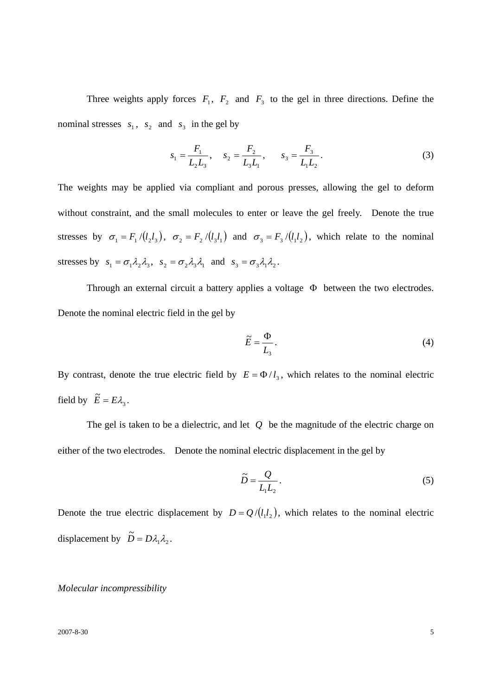Three weights apply forces  $F_1$ ,  $F_2$  and  $F_3$  to the gel in three directions. Define the nominal stresses  $s_1$ ,  $s_2$  and  $s_3$  in the gel by

$$
s_1 = \frac{F_1}{L_2 L_3}, \quad s_2 = \frac{F_2}{L_3 L_1}, \quad s_3 = \frac{F_3}{L_1 L_2}.
$$
 (3)

The weights may be applied via compliant and porous presses, allowing the gel to deform without constraint, and the small molecules to enter or leave the gel freely. Denote the true stresses by  $\sigma_1 = F_1 / (l_2 l_3)$ ,  $\sigma_2 = F_2 / (l_3 l_1)$  and  $\sigma_3 = F_3 / (l_1 l_2)$ , which relate to the nominal stresses by  $s_1 = \sigma_1 \lambda_2 \lambda_3$ ,  $s_2 = \sigma_2 \lambda_3 \lambda_1$  and  $s_3 = \sigma_3 \lambda_1 \lambda_2$ .

 Through an external circuit a battery applies a voltage Φ between the two electrodes. Denote the nominal electric field in the gel by

$$
\widetilde{E} = \frac{\Phi}{L_3}.
$$
\n(4)

By contrast, denote the true electric field by  $E = \Phi / l_3$ , which relates to the nominal electric field by  $\widetilde{E} = E\lambda_3$ .

 The gel is taken to be a dielectric, and let *Q* be the magnitude of the electric charge on either of the two electrodes. Denote the nominal electric displacement in the gel by

$$
\widetilde{D} = \frac{Q}{L_1 L_2}.
$$
\n<sup>(5)</sup>

Denote the true electric displacement by  $D = Q / (l_1 l_2)$ , which relates to the nominal electric displacement by  $\tilde{D} = D\lambda_1 \lambda_2$ .

## *Molecular incompressibility*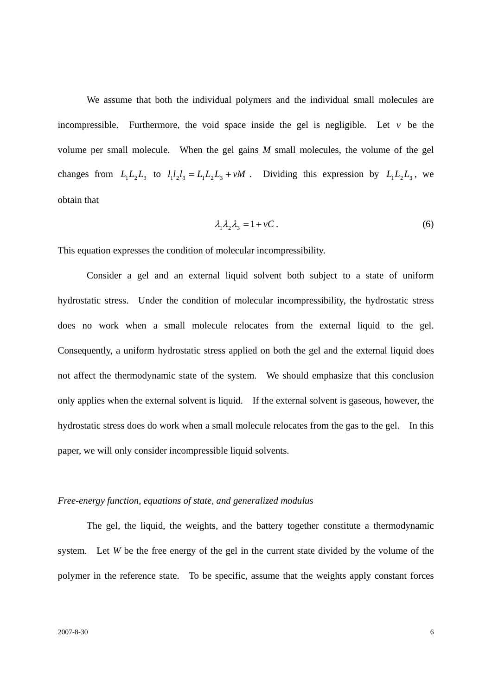We assume that both the individual polymers and the individual small molecules are incompressible. Furthermore, the void space inside the gel is negligible. Let *v* be the volume per small molecule. When the gel gains *M* small molecules, the volume of the gel changes from  $L_1L_2L_3$  to  $l_1l_2l_3 = L_1L_2L_3 + vM$ . Dividing this expression by  $L_1L_2L_3$ , we obtain that

$$
\lambda_1 \lambda_2 \lambda_3 = 1 + vC \,. \tag{6}
$$

This equation expresses the condition of molecular incompressibility.

 Consider a gel and an external liquid solvent both subject to a state of uniform hydrostatic stress. Under the condition of molecular incompressibility, the hydrostatic stress does no work when a small molecule relocates from the external liquid to the gel. Consequently, a uniform hydrostatic stress applied on both the gel and the external liquid does not affect the thermodynamic state of the system. We should emphasize that this conclusion only applies when the external solvent is liquid. If the external solvent is gaseous, however, the hydrostatic stress does do work when a small molecule relocates from the gas to the gel. In this paper, we will only consider incompressible liquid solvents.

## *Free-energy function, equations of state, and generalized modulus*

 The gel, the liquid, the weights, and the battery together constitute a thermodynamic system. Let *W* be the free energy of the gel in the current state divided by the volume of the polymer in the reference state. To be specific, assume that the weights apply constant forces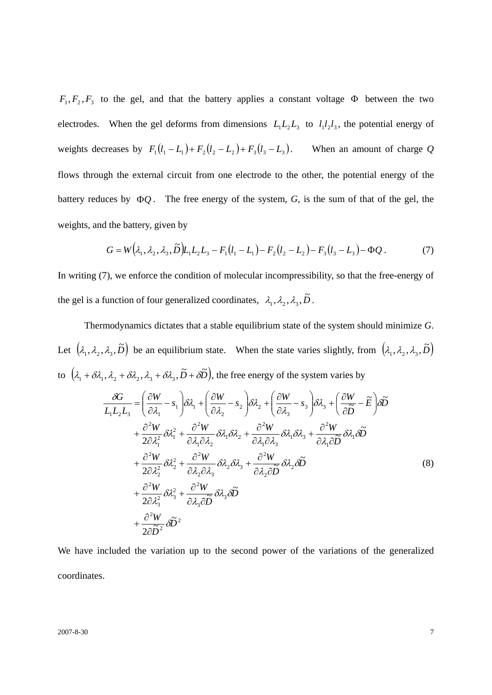$F_1, F_2, F_3$  to the gel, and that the battery applies a constant voltage  $\Phi$  between the two electrodes. When the gel deforms from dimensions  $L_1L_2L_3$  to  $l_1l_2l_3$ , the potential energy of weights decreases by  $F_1 (l_1 - L_1) + F_2 (l_2 - L_2) + F_3 (l_3 - L_3)$ . When an amount of charge *Q* flows through the external circuit from one electrode to the other, the potential energy of the battery reduces by Φ*Q* . The free energy of the system, *G*, is the sum of that of the gel, the weights, and the battery, given by

$$
G = W(\lambda_1, \lambda_2, \lambda_3, \widetilde{D})L_1L_2L_3 - F_1(l_1 - L_1) - F_2(l_2 - L_2) - F_3(l_3 - L_3) - \Phi Q. \tag{7}
$$

In writing (7), we enforce the condition of molecular incompressibility, so that the free-energy of the gel is a function of four generalized coordinates,  $\lambda_1, \lambda_2, \lambda_3, \tilde{D}$ .

 Thermodynamics dictates that a stable equilibrium state of the system should minimize *G*. Let  $(\lambda_1, \lambda_2, \lambda_3, \tilde{D})$  be an equilibrium state. When the state varies slightly, from  $(\lambda_1, \lambda_2, \lambda_3, \tilde{D})$ to  $(\lambda_1 + \delta\lambda_1, \lambda_2 + \delta\lambda_2, \lambda_3 + \delta\lambda_3, \tilde{D} + \delta\tilde{D})$ , the free energy of the system varies by

$$
\frac{\partial G}{L_1 L_2 L_3} = \left(\frac{\partial W}{\partial \lambda_1} - s_1\right) \delta \lambda_1 + \left(\frac{\partial W}{\partial \lambda_2} - s_2\right) \delta \lambda_2 + \left(\frac{\partial W}{\partial \lambda_3} - s_3\right) \delta \lambda_3 + \left(\frac{\partial W}{\partial \widetilde{D}} - \widetilde{E}\right) \delta \widetilde{D}
$$
\n
$$
+ \frac{\partial^2 W}{2\partial \lambda_1^2} \delta \lambda_1^2 + \frac{\partial^2 W}{\partial \lambda_1 \partial \lambda_2} \delta \lambda_1 \delta \lambda_2 + \frac{\partial^2 W}{\partial \lambda_1 \partial \lambda_3} \delta \lambda_1 \delta \lambda_3 + \frac{\partial^2 W}{\partial \lambda_1 \partial \widetilde{D}} \delta \lambda_1 \delta \widetilde{D}
$$
\n
$$
+ \frac{\partial^2 W}{2\partial \lambda_2^2} \delta \lambda_2^2 + \frac{\partial^2 W}{\partial \lambda_2 \partial \lambda_3} \delta \lambda_2 \delta \lambda_3 + \frac{\partial^2 W}{\partial \lambda_2 \partial \widetilde{D}} \delta \lambda_2 \delta \widetilde{D}
$$
\n
$$
+ \frac{\partial^2 W}{2\partial \lambda_3^2} \delta \lambda_3^2 + \frac{\partial^2 W}{\partial \lambda_3 \partial \widetilde{D}} \delta \lambda_3 \delta \widetilde{D}
$$
\n
$$
+ \frac{\partial^2 W}{2\partial \widetilde{D}^2} \delta \widetilde{D}^2
$$
\n(8)

We have included the variation up to the second power of the variations of the generalized coordinates.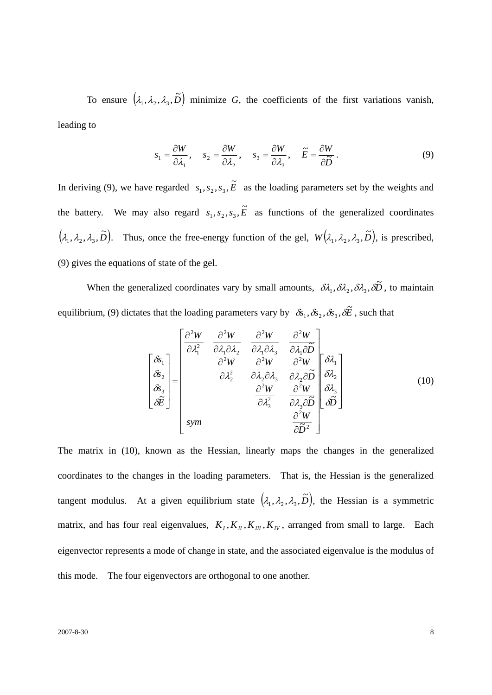To ensure  $(\lambda_1, \lambda_2, \lambda_3, \tilde{D})$  minimize *G*, the coefficients of the first variations vanish, leading to

$$
s_1 = \frac{\partial W}{\partial \lambda_1}, \quad s_2 = \frac{\partial W}{\partial \lambda_2}, \quad s_3 = \frac{\partial W}{\partial \lambda_3}, \quad \widetilde{E} = \frac{\partial W}{\partial \widetilde{D}}.
$$
 (9)

In deriving (9), we have regarded  $s_1, s_2, s_3$ ,  $\tilde{E}$  as the loading parameters set by the weights and the battery. We may also regard  $s_1, s_2, s_3, \tilde{E}$  as functions of the generalized coordinates  $(\lambda_1, \lambda_2, \lambda_3, \tilde{D})$ . Thus, once the free-energy function of the gel,  $W(\lambda_1, \lambda_2, \lambda_3, \tilde{D})$ , is prescribed, (9) gives the equations of state of the gel.

When the generalized coordinates vary by small amounts,  $\delta \lambda_1, \delta \lambda_2, \delta \lambda_3, \delta \tilde{D}$ , to maintain equilibrium, (9) dictates that the loading parameters vary by  $\delta s_1, \delta s_2, \delta s_3, \delta \tilde{E}$ , such that

$$
\begin{bmatrix}\n\delta_{1} \\
\delta_{2} \\
\delta_{3} \\
\delta_{4} \\
\delta_{5} \\
\delta_{6} \\
\delta_{7}\n\end{bmatrix} = \begin{bmatrix}\n\frac{\partial^{2}W}{\partial \lambda_{1}^{2}} & \frac{\partial^{2}W}{\partial \lambda_{1}\partial \lambda_{2}} & \frac{\partial^{2}W}{\partial \lambda_{1}\partial \lambda_{3}} & \frac{\partial^{2}W}{\partial \lambda_{1}\partial \widetilde{D}} \\
\frac{\partial^{2}W}{\partial \lambda_{2}^{2}} & \frac{\partial^{2}W}{\partial \lambda_{2}\partial \lambda_{3}} & \frac{\partial^{2}W}{\partial \lambda_{2}\partial \widetilde{D}} & \frac{\partial^{2}W}{\partial \lambda_{2}} \\
\frac{\partial^{2}W}{\partial \lambda_{3}^{2}} & \frac{\partial^{2}W}{\partial \lambda_{3}\partial \widetilde{D}} & \frac{\partial^{2}W}{\partial \widetilde{D}} & \frac{\partial^{2}W}{\partial \widetilde{D}}\n\end{bmatrix}
$$
\n(10)

The matrix in (10), known as the Hessian, linearly maps the changes in the generalized coordinates to the changes in the loading parameters. That is, the Hessian is the generalized tangent modulus. At a given equilibrium state  $(\lambda_1, \lambda_2, \lambda_3, \tilde{D})$ , the Hessian is a symmetric matrix, and has four real eigenvalues,  $K_I$ ,  $K_{II}$ ,  $K_{III}$ ,  $K_{IV}$ , arranged from small to large. Each eigenvector represents a mode of change in state, and the associated eigenvalue is the modulus of this mode. The four eigenvectors are orthogonal to one another.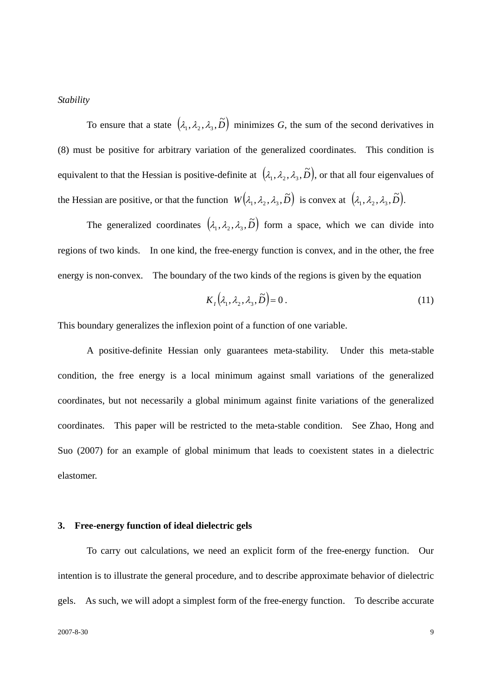## *Stability*

To ensure that a state  $(\lambda_1, \lambda_2, \lambda_3, \tilde{D})$  minimizes *G*, the sum of the second derivatives in (8) must be positive for arbitrary variation of the generalized coordinates. This condition is equivalent to that the Hessian is positive-definite at  $(\lambda_1, \lambda_2, \lambda_3, \tilde{D})$ , or that all four eigenvalues of the Hessian are positive, or that the function  $W(\lambda_1, \lambda_2, \lambda_3, \tilde{D})$  is convex at  $(\lambda_1, \lambda_2, \lambda_3, \tilde{D})$ .

The generalized coordinates  $(\lambda_1, \lambda_2, \lambda_3, \tilde{D})$  form a space, which we can divide into regions of two kinds. In one kind, the free-energy function is convex, and in the other, the free energy is non-convex. The boundary of the two kinds of the regions is given by the equation

$$
K_1(\lambda_1, \lambda_2, \lambda_3, \widetilde{D}) = 0.
$$
 (11)

This boundary generalizes the inflexion point of a function of one variable.

 A positive-definite Hessian only guarantees meta-stability. Under this meta-stable condition, the free energy is a local minimum against small variations of the generalized coordinates, but not necessarily a global minimum against finite variations of the generalized coordinates. This paper will be restricted to the meta-stable condition. See Zhao, Hong and Suo (2007) for an example of global minimum that leads to coexistent states in a dielectric elastomer.

#### **3. Free-energy function of ideal dielectric gels**

 To carry out calculations, we need an explicit form of the free-energy function. Our intention is to illustrate the general procedure, and to describe approximate behavior of dielectric gels. As such, we will adopt a simplest form of the free-energy function. To describe accurate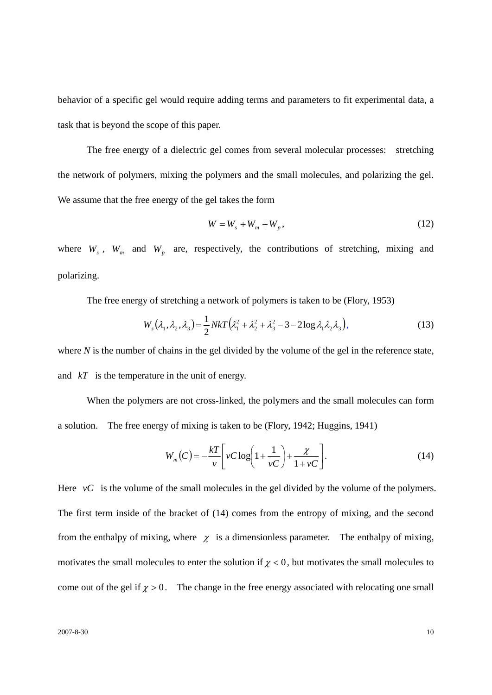behavior of a specific gel would require adding terms and parameters to fit experimental data, a task that is beyond the scope of this paper.

 The free energy of a dielectric gel comes from several molecular processes: stretching the network of polymers, mixing the polymers and the small molecules, and polarizing the gel. We assume that the free energy of the gel takes the form

$$
W = Ws + Wm + Wp, \t\t(12)
$$

where  $W_s$ ,  $W_m$  and  $W_p$  are, respectively, the contributions of stretching, mixing and polarizing.

The free energy of stretching a network of polymers is taken to be (Flory, 1953)

$$
W_s(\lambda_1, \lambda_2, \lambda_3) = \frac{1}{2} NkT (\lambda_1^2 + \lambda_2^2 + \lambda_3^2 - 3 - 2\log \lambda_1 \lambda_2 \lambda_3), \tag{13}
$$

where *N* is the number of chains in the gel divided by the volume of the gel in the reference state, and *kT* is the temperature in the unit of energy.

 When the polymers are not cross-linked, the polymers and the small molecules can form a solution. The free energy of mixing is taken to be (Flory, 1942; Huggins, 1941)

$$
W_m(C) = -\frac{kT}{\nu} \left[ \nu C \log \left( 1 + \frac{1}{\nu C} \right) + \frac{\chi}{1 + \nu C} \right].
$$
 (14)

Here  $vC$  is the volume of the small molecules in the gel divided by the volume of the polymers. The first term inside of the bracket of (14) comes from the entropy of mixing, and the second from the enthalpy of mixing, where  $\chi$  is a dimensionless parameter. The enthalpy of mixing, motivates the small molecules to enter the solution if  $\chi$  < 0, but motivates the small molecules to come out of the gel if  $\chi > 0$ . The change in the free energy associated with relocating one small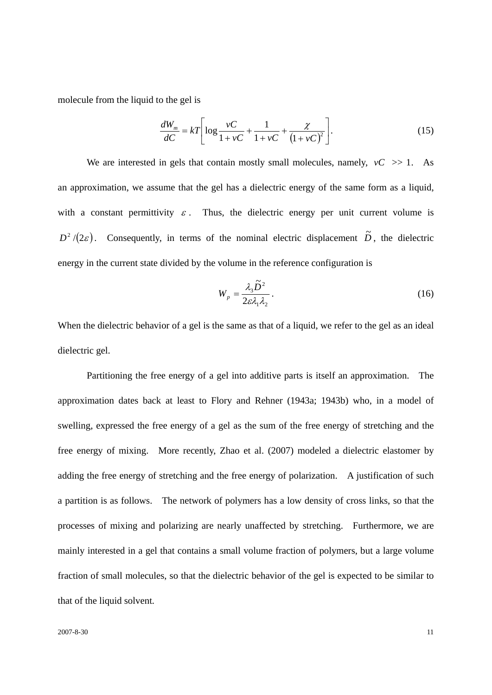molecule from the liquid to the gel is

$$
\frac{dW_m}{dC} = kT \left[ \log \frac{vC}{1 + vC} + \frac{1}{1 + vC} + \frac{\chi}{(1 + vC)^2} \right].
$$
\n(15)

We are interested in gels that contain mostly small molecules, namely,  $vC \gg 1$ . As an approximation, we assume that the gel has a dielectric energy of the same form as a liquid, with a constant permittivity  $\varepsilon$ . Thus, the dielectric energy per unit current volume is  $D^2/(2\varepsilon)$ . Consequently, in terms of the nominal electric displacement  $\tilde{D}$ , the dielectric energy in the current state divided by the volume in the reference configuration is

$$
W_p = \frac{\lambda_3 \tilde{D}^2}{2\varepsilon \lambda_1 \lambda_2} \,. \tag{16}
$$

When the dielectric behavior of a gel is the same as that of a liquid, we refer to the gel as an ideal dielectric gel.

 Partitioning the free energy of a gel into additive parts is itself an approximation. The approximation dates back at least to Flory and Rehner (1943a; 1943b) who, in a model of swelling, expressed the free energy of a gel as the sum of the free energy of stretching and the free energy of mixing. More recently, Zhao et al. (2007) modeled a dielectric elastomer by adding the free energy of stretching and the free energy of polarization. A justification of such a partition is as follows. The network of polymers has a low density of cross links, so that the processes of mixing and polarizing are nearly unaffected by stretching. Furthermore, we are mainly interested in a gel that contains a small volume fraction of polymers, but a large volume fraction of small molecules, so that the dielectric behavior of the gel is expected to be similar to that of the liquid solvent.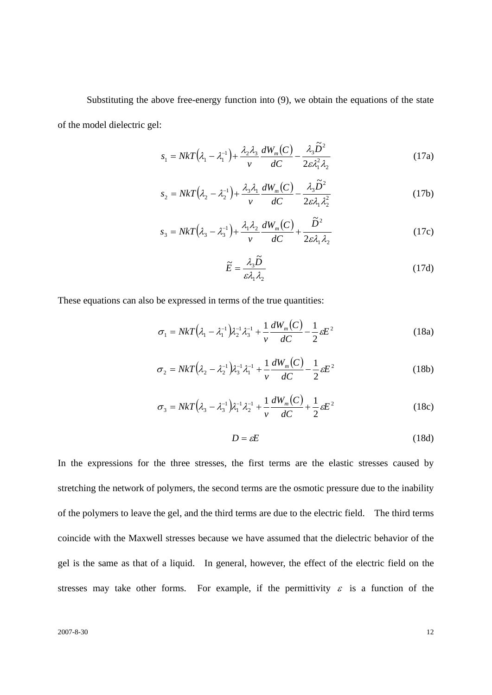Substituting the above free-energy function into (9), we obtain the equations of the state of the model dielectric gel:

$$
s_1 = NkT(\lambda_1 - \lambda_1^{-1}) + \frac{\lambda_2 \lambda_3}{\nu} \frac{dW_m(C)}{dC} - \frac{\lambda_3 \tilde{D}^2}{2\varepsilon \lambda_1^2 \lambda_2}
$$
(17a)

$$
s_2 = NkT(\lambda_2 - \lambda_2^{-1}) + \frac{\lambda_3 \lambda_1}{\nu} \frac{dW_m(C)}{dC} - \frac{\lambda_3 \widetilde{D}^2}{2\varepsilon \lambda_1 \lambda_2^2}
$$
(17b)

$$
s_3 = NkT(\lambda_3 - \lambda_3^{-1}) + \frac{\lambda_1 \lambda_2}{\nu} \frac{dW_m(C)}{dC} + \frac{\tilde{D}^2}{2\varepsilon \lambda_1 \lambda_2}
$$
(17c)

$$
\widetilde{E} = \frac{\lambda_3 \widetilde{D}}{\varepsilon \lambda_1 \lambda_2} \tag{17d}
$$

These equations can also be expressed in terms of the true quantities:

$$
\sigma_1 = NkT(\lambda_1 - \lambda_1^{-1})\lambda_2^{-1}\lambda_3^{-1} + \frac{1}{\nu}\frac{dW_m(C)}{dC} - \frac{1}{2}\varepsilon E^2
$$
 (18a)

$$
\sigma_2 = NkT(\lambda_2 - \lambda_2^{-1})\lambda_3^{-1}\lambda_1^{-1} + \frac{1}{\nu}\frac{dW_m(C)}{dC} - \frac{1}{2}\varepsilon E^2
$$
 (18b)

$$
\sigma_3 = NkT(\lambda_3 - \lambda_3^{-1})\lambda_1^{-1}\lambda_2^{-1} + \frac{1}{\nu}\frac{dW_m(C)}{dC} + \frac{1}{2}\varepsilon E^2
$$
 (18c)

$$
D = \varepsilon E \tag{18d}
$$

In the expressions for the three stresses, the first terms are the elastic stresses caused by stretching the network of polymers, the second terms are the osmotic pressure due to the inability of the polymers to leave the gel, and the third terms are due to the electric field. The third terms coincide with the Maxwell stresses because we have assumed that the dielectric behavior of the gel is the same as that of a liquid. In general, however, the effect of the electric field on the stresses may take other forms. For example, if the permittivity  $\varepsilon$  is a function of the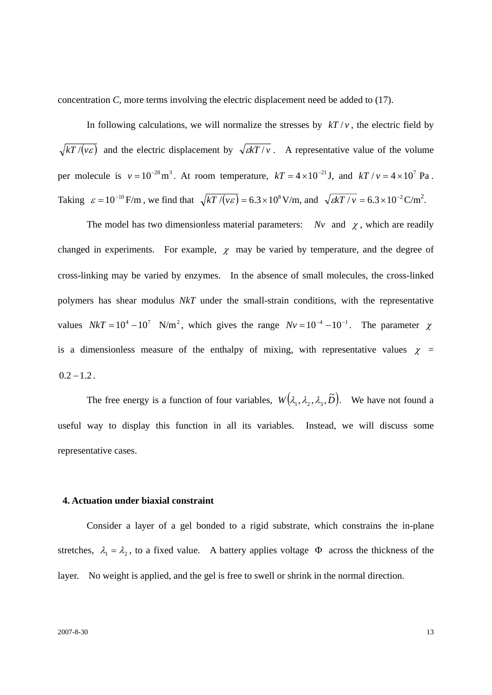concentration *C*, more terms involving the electric displacement need be added to (17).

In following calculations, we will normalize the stresses by  $kT/v$ , the electric field by  $\sqrt{kT/(v\epsilon)}$  and the electric displacement by  $\sqrt{kT/v}$ . A representative value of the volume per molecule is  $v = 10^{-28} \text{m}^3$ . At room temperature,  $kT = 4 \times 10^{-21} \text{J}$ , and  $kT / v = 4 \times 10^7 \text{ Pa}$ . Taking  $\varepsilon = 10^{-10}$  F/m, we find that  $\sqrt{kT / (v \varepsilon)} = 6.3 \times 10^8$  V/m, and  $\sqrt{kT / v} = 6.3 \times 10^{-2}$  C/m<sup>2</sup>.

The model has two dimensionless material parameters: *Nv* and  $\chi$ , which are readily changed in experiments. For example,  $\chi$  may be varied by temperature, and the degree of cross-linking may be varied by enzymes. In the absence of small molecules, the cross-linked polymers has shear modulus *NkT* under the small-strain conditions, with the representative values  $NkT = 10^4 - 10^7$  N/m<sup>2</sup>, which gives the range  $Nv = 10^{-4} - 10^{-1}$ . The parameter  $\chi$ is a dimensionless measure of the enthalpy of mixing, with representative values  $\chi$  =  $0.2 - 1.2$ .

The free energy is a function of four variables,  $W(\lambda_1, \lambda_2, \lambda_3, \tilde{D})$ . We have not found a useful way to display this function in all its variables. Instead, we will discuss some representative cases.

## **4. Actuation under biaxial constraint**

Consider a layer of a gel bonded to a rigid substrate, which constrains the in-plane stretches,  $\lambda_1 = \lambda_2$ , to a fixed value. A battery applies voltage  $\Phi$  across the thickness of the layer. No weight is applied, and the gel is free to swell or shrink in the normal direction.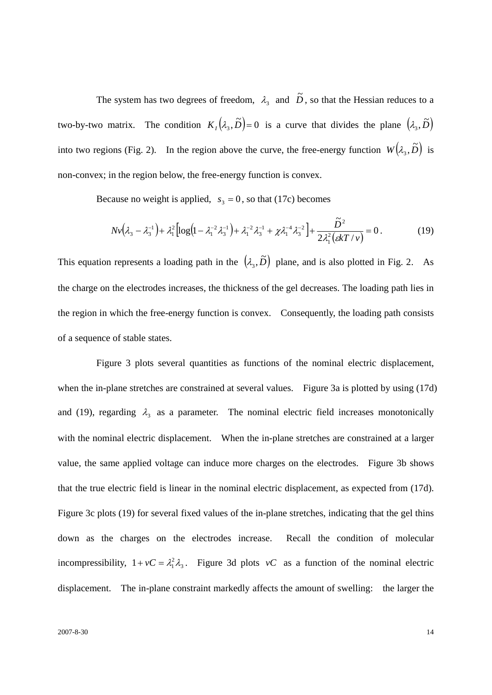The system has two degrees of freedom,  $\lambda_3$  and  $\tilde{D}$ , so that the Hessian reduces to a two-by-two matrix. The condition  $K_1(\lambda_3, \tilde{D}) = 0$  is a curve that divides the plane  $(\lambda_3, \tilde{D})$ into two regions (Fig. 2). In the region above the curve, the free-energy function  $W(\lambda_3, \tilde{D})$  is non-convex; in the region below, the free-energy function is convex.

Because no weight is applied,  $s_3 = 0$ , so that (17c) becomes

$$
Nv(\lambda_3 - \lambda_3^{-1}) + \lambda_1^2 \left[ \log \left( 1 - \lambda_1^{-2} \lambda_3^{-1} \right) + \lambda_1^{-2} \lambda_3^{-1} + \chi \lambda_1^{-4} \lambda_3^{-2} \right] + \frac{\tilde{D}^2}{2 \lambda_1^2 (skT/v)} = 0. \tag{19}
$$

This equation represents a loading path in the  $(\lambda_3, \tilde{D})$  plane, and is also plotted in Fig. 2. As the charge on the electrodes increases, the thickness of the gel decreases. The loading path lies in the region in which the free-energy function is convex. Consequently, the loading path consists of a sequence of stable states.

 Figure 3 plots several quantities as functions of the nominal electric displacement, when the in-plane stretches are constrained at several values. Figure 3a is plotted by using (17d) and (19), regarding  $\lambda_3$  as a parameter. The nominal electric field increases monotonically with the nominal electric displacement. When the in-plane stretches are constrained at a larger value, the same applied voltage can induce more charges on the electrodes. Figure 3b shows that the true electric field is linear in the nominal electric displacement, as expected from (17d). Figure 3c plots (19) for several fixed values of the in-plane stretches, indicating that the gel thins down as the charges on the electrodes increase. Recall the condition of molecular incompressibility,  $1 + vC = \lambda_1^2 \lambda_3$ . Figure 3d plots *vC* as a function of the nominal electric displacement. The in-plane constraint markedly affects the amount of swelling: the larger the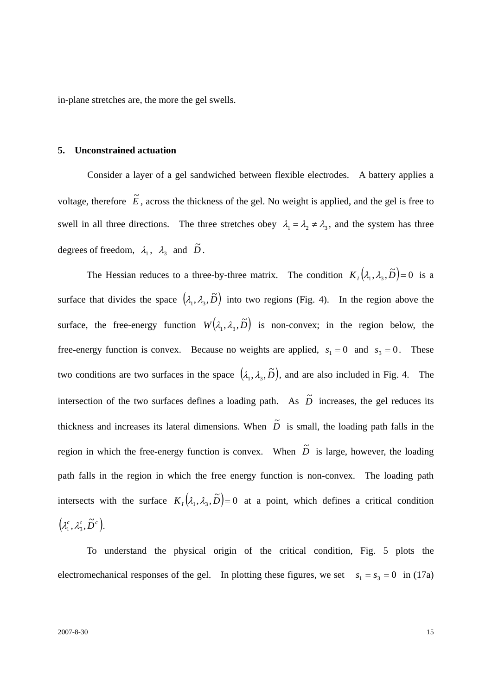in-plane stretches are, the more the gel swells.

## **5. Unconstrained actuation**

 Consider a layer of a gel sandwiched between flexible electrodes. A battery applies a voltage, therefore  $\tilde{E}$ , across the thickness of the gel. No weight is applied, and the gel is free to swell in all three directions. The three stretches obey  $\lambda_1 = \lambda_2 \neq \lambda_3$ , and the system has three degrees of freedom,  $\lambda_1$ ,  $\lambda_3$  and  $\tilde{D}$ .

The Hessian reduces to a three-by-three matrix. The condition  $K_1(\lambda_1, \lambda_3, \tilde{D}) = 0$  is a surface that divides the space  $(\lambda_1, \lambda_3, \tilde{D})$  into two regions (Fig. 4). In the region above the surface, the free-energy function  $W(\lambda_1, \lambda_3, \tilde{D})$  is non-convex; in the region below, the free-energy function is convex. Because no weights are applied,  $s_1 = 0$  and  $s_3 = 0$ . These two conditions are two surfaces in the space  $(\lambda_1, \lambda_3, \tilde{D})$ , and are also included in Fig. 4. The intersection of the two surfaces defines a loading path. As  $\tilde{D}$  increases, the gel reduces its thickness and increases its lateral dimensions. When  $\tilde{D}$  is small, the loading path falls in the region in which the free-energy function is convex. When  $\tilde{D}$  is large, however, the loading path falls in the region in which the free energy function is non-convex. The loading path intersects with the surface  $K_1(\lambda_1, \lambda_3, \tilde{D}) = 0$  at a point, which defines a critical condition  $(\lambda_1^c, \lambda_3^c, \widetilde{D}^c).$ 

 To understand the physical origin of the critical condition, Fig. 5 plots the electromechanical responses of the gel. In plotting these figures, we set  $s_1 = s_3 = 0$  in (17a)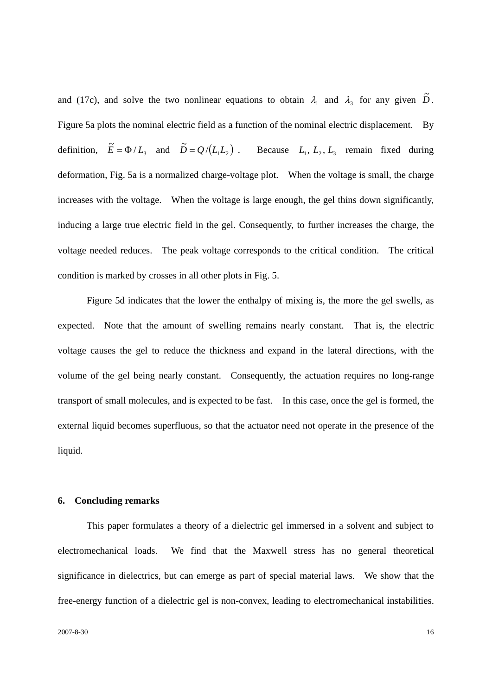and (17c), and solve the two nonlinear equations to obtain  $\lambda_1$  and  $\lambda_3$  for any given  $\tilde{D}$ . Figure 5a plots the nominal electric field as a function of the nominal electric displacement. By definition,  $\widetilde{E} = \Phi / L_3$  and  $\widetilde{D} = Q / (L_1 L_2)$ . Because  $L_1, L_2, L_3$  remain fixed during deformation, Fig. 5a is a normalized charge-voltage plot. When the voltage is small, the charge increases with the voltage. When the voltage is large enough, the gel thins down significantly, inducing a large true electric field in the gel. Consequently, to further increases the charge, the voltage needed reduces. The peak voltage corresponds to the critical condition. The critical condition is marked by crosses in all other plots in Fig. 5.

 Figure 5d indicates that the lower the enthalpy of mixing is, the more the gel swells, as expected. Note that the amount of swelling remains nearly constant. That is, the electric voltage causes the gel to reduce the thickness and expand in the lateral directions, with the volume of the gel being nearly constant. Consequently, the actuation requires no long-range transport of small molecules, and is expected to be fast. In this case, once the gel is formed, the external liquid becomes superfluous, so that the actuator need not operate in the presence of the liquid.

## **6. Concluding remarks**

 This paper formulates a theory of a dielectric gel immersed in a solvent and subject to electromechanical loads. We find that the Maxwell stress has no general theoretical significance in dielectrics, but can emerge as part of special material laws. We show that the free-energy function of a dielectric gel is non-convex, leading to electromechanical instabilities.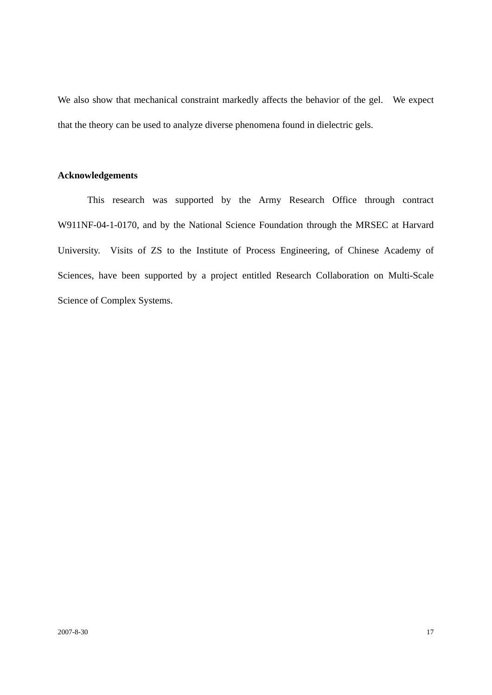We also show that mechanical constraint markedly affects the behavior of the gel. We expect that the theory can be used to analyze diverse phenomena found in dielectric gels.

## **Acknowledgements**

 This research was supported by the Army Research Office through contract W911NF-04-1-0170, and by the National Science Foundation through the MRSEC at Harvard University. Visits of ZS to the Institute of Process Engineering, of Chinese Academy of Sciences, have been supported by a project entitled Research Collaboration on Multi-Scale Science of Complex Systems.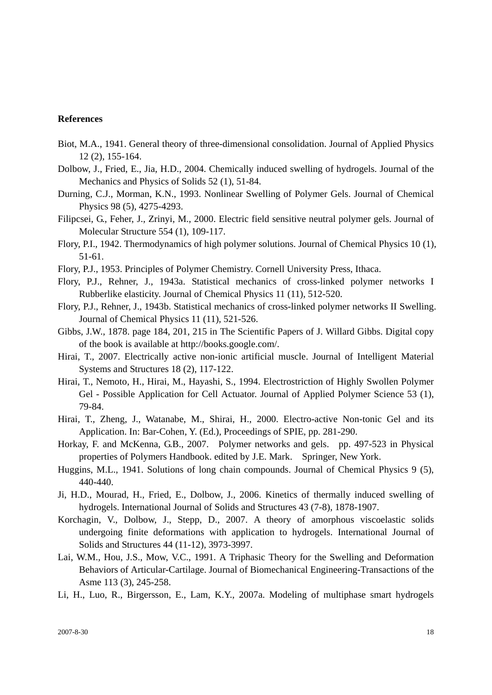## **References**

- Biot, M.A., 1941. General theory of three-dimensional consolidation. Journal of Applied Physics 12 (2), 155-164.
- Dolbow, J., Fried, E., Jia, H.D., 2004. Chemically induced swelling of hydrogels. Journal of the Mechanics and Physics of Solids 52 (1), 51-84.
- Durning, C.J., Morman, K.N., 1993. Nonlinear Swelling of Polymer Gels. Journal of Chemical Physics 98 (5), 4275-4293.
- Filipcsei, G., Feher, J., Zrinyi, M., 2000. Electric field sensitive neutral polymer gels. Journal of Molecular Structure 554 (1), 109-117.
- Flory, P.I., 1942. Thermodynamics of high polymer solutions. Journal of Chemical Physics 10 (1), 51-61.
- Flory, P.J., 1953. Principles of Polymer Chemistry. Cornell University Press, Ithaca.
- Flory, P.J., Rehner, J., 1943a. Statistical mechanics of cross-linked polymer networks I Rubberlike elasticity. Journal of Chemical Physics 11 (11), 512-520.
- Flory, P.J., Rehner, J., 1943b. Statistical mechanics of cross-linked polymer networks II Swelling. Journal of Chemical Physics 11 (11), 521-526.
- Gibbs, J.W., 1878. page 184, 201, 215 in The Scientific Papers of J. Willard Gibbs. Digital copy of the book is available at http://books.google.com/.
- Hirai, T., 2007. Electrically active non-ionic artificial muscle. Journal of Intelligent Material Systems and Structures 18 (2), 117-122.
- Hirai, T., Nemoto, H., Hirai, M., Hayashi, S., 1994. Electrostriction of Highly Swollen Polymer Gel - Possible Application for Cell Actuator. Journal of Applied Polymer Science 53 (1), 79-84.
- Hirai, T., Zheng, J., Watanabe, M., Shirai, H., 2000. Electro-active Non-tonic Gel and its Application. In: Bar-Cohen, Y. (Ed.), Proceedings of SPIE, pp. 281-290.
- Horkay, F. and McKenna, G.B., 2007. Polymer networks and gels. pp. 497-523 in Physical properties of Polymers Handbook. edited by J.E. Mark. Springer, New York.
- Huggins, M.L., 1941. Solutions of long chain compounds. Journal of Chemical Physics 9 (5), 440-440.
- Ji, H.D., Mourad, H., Fried, E., Dolbow, J., 2006. Kinetics of thermally induced swelling of hydrogels. International Journal of Solids and Structures 43 (7-8), 1878-1907.
- Korchagin, V., Dolbow, J., Stepp, D., 2007. A theory of amorphous viscoelastic solids undergoing finite deformations with application to hydrogels. International Journal of Solids and Structures 44 (11-12), 3973-3997.
- Lai, W.M., Hou, J.S., Mow, V.C., 1991. A Triphasic Theory for the Swelling and Deformation Behaviors of Articular-Cartilage. Journal of Biomechanical Engineering-Transactions of the Asme 113 (3), 245-258.
- Li, H., Luo, R., Birgersson, E., Lam, K.Y., 2007a. Modeling of multiphase smart hydrogels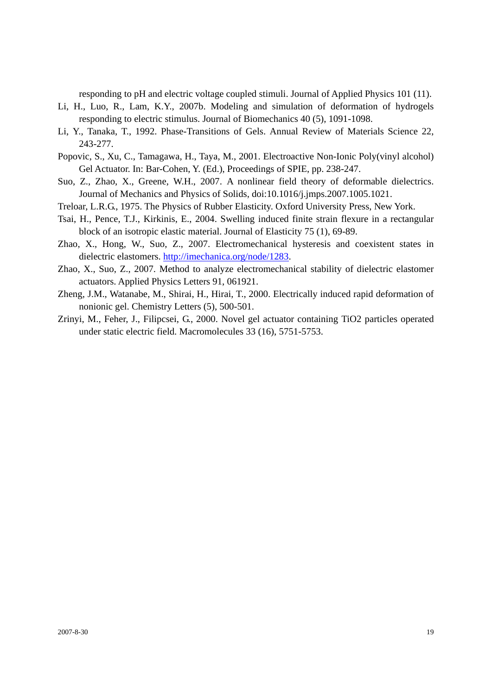responding to pH and electric voltage coupled stimuli. Journal of Applied Physics 101 (11).

- Li, H., Luo, R., Lam, K.Y., 2007b. Modeling and simulation of deformation of hydrogels responding to electric stimulus. Journal of Biomechanics 40 (5), 1091-1098.
- Li, Y., Tanaka, T., 1992. Phase-Transitions of Gels. Annual Review of Materials Science 22, 243-277.
- Popovic, S., Xu, C., Tamagawa, H., Taya, M., 2001. Electroactive Non-Ionic Poly(vinyl alcohol) Gel Actuator. In: Bar-Cohen, Y. (Ed.), Proceedings of SPIE, pp. 238-247.
- Suo, Z., Zhao, X., Greene, W.H., 2007. A nonlinear field theory of deformable dielectrics. Journal of Mechanics and Physics of Solids, doi:10.1016/j.jmps.2007.1005.1021.
- Treloar, L.R.G., 1975. The Physics of Rubber Elasticity. Oxford University Press, New York.
- Tsai, H., Pence, T.J., Kirkinis, E., 2004. Swelling induced finite strain flexure in a rectangular block of an isotropic elastic material. Journal of Elasticity 75 (1), 69-89.
- Zhao, X., Hong, W., Suo, Z., 2007. Electromechanical hysteresis and coexistent states in dielectric elastomers. http://imechanica.org/node/1283.
- Zhao, X., Suo, Z., 2007. Method to analyze electromechanical stability of dielectric elastomer actuators. Applied Physics Letters 91, 061921.
- Zheng, J.M., Watanabe, M., Shirai, H., Hirai, T., 2000. Electrically induced rapid deformation of nonionic gel. Chemistry Letters (5), 500-501.
- Zrinyi, M., Feher, J., Filipcsei, G., 2000. Novel gel actuator containing TiO2 particles operated under static electric field. Macromolecules 33 (16), 5751-5753.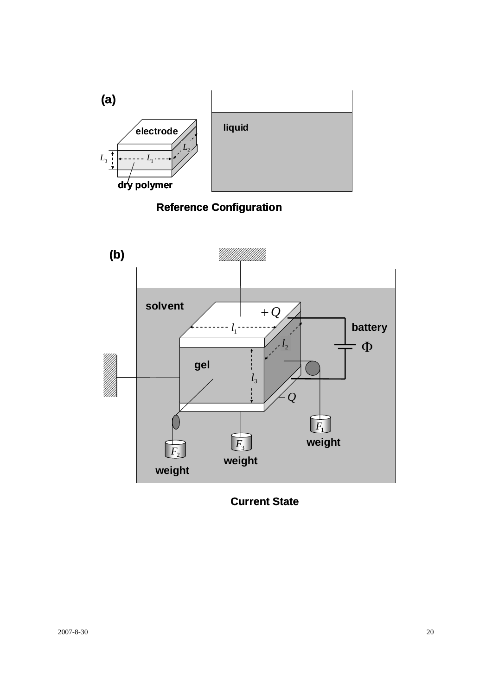

# **Reference Configuration**



**Current State**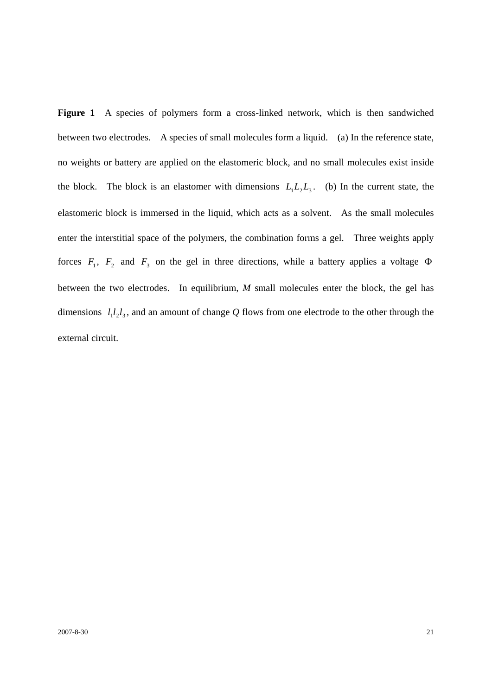Figure 1 A species of polymers form a cross-linked network, which is then sandwiched between two electrodes. A species of small molecules form a liquid. (a) In the reference state, no weights or battery are applied on the elastomeric block, and no small molecules exist inside the block. The block is an elastomer with dimensions  $L_1L_2L_3$ . (b) In the current state, the elastomeric block is immersed in the liquid, which acts as a solvent. As the small molecules enter the interstitial space of the polymers, the combination forms a gel. Three weights apply forces  $F_1$ ,  $F_2$  and  $F_3$  on the gel in three directions, while a battery applies a voltage  $\Phi$ between the two electrodes. In equilibrium, *M* small molecules enter the block, the gel has dimensions  $l_1 l_2 l_3$ , and an amount of change Q flows from one electrode to the other through the external circuit.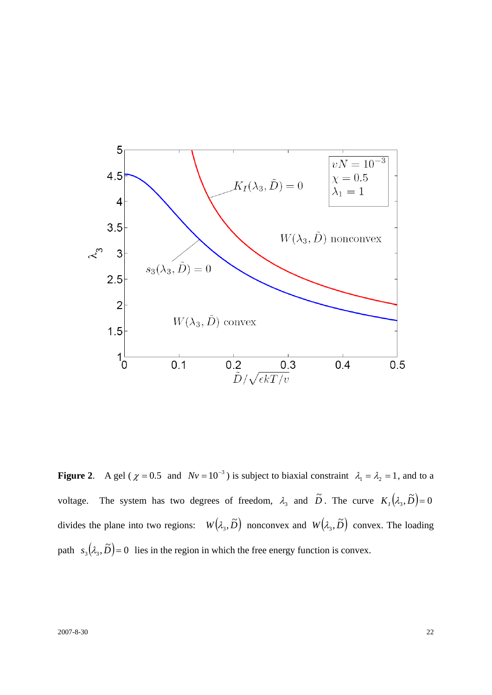

**Figure 2.** A gel ( $\chi = 0.5$  and  $Nv = 10^{-3}$ ) is subject to biaxial constraint  $\lambda_1 = \lambda_2 = 1$ , and to a voltage. The system has two degrees of freedom,  $\lambda_3$  and  $\tilde{D}$ . The curve  $K_1(\lambda_3, \tilde{D}) = 0$ divides the plane into two regions:  $W(\lambda_3, \tilde{D})$  nonconvex and  $W(\lambda_3, \tilde{D})$  convex. The loading path  $s_3(\lambda_3, \tilde{D}) = 0$  lies in the region in which the free energy function is convex.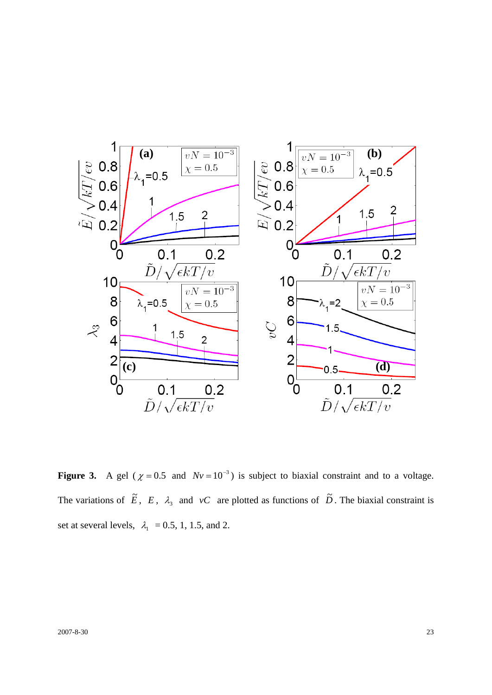

**Figure 3.** A gel ( $\chi = 0.5$  and  $Nv = 10^{-3}$ ) is subject to biaxial constraint and to a voltage. The variations of  $\tilde{E}$ ,  $E$ ,  $\lambda_3$  and *vC* are plotted as functions of  $\tilde{D}$ . The biaxial constraint is set at several levels,  $\lambda_1 = 0.5, 1, 1.5,$  and 2.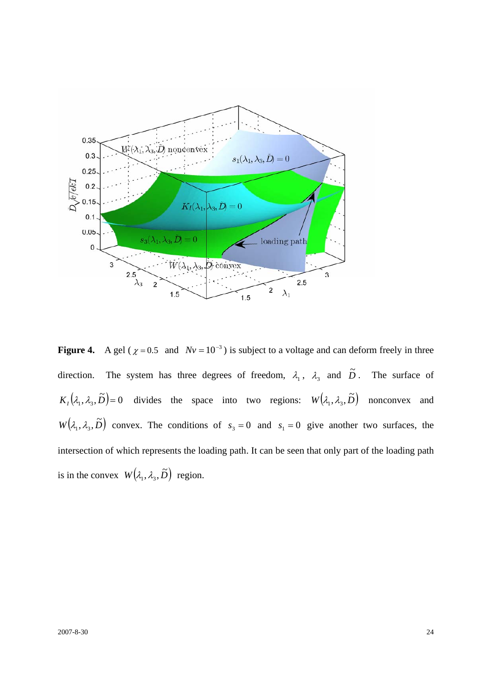

**Figure 4.** A gel ( $\chi = 0.5$  and  $Nv = 10^{-3}$ ) is subject to a voltage and can deform freely in three direction. The system has three degrees of freedom,  $\lambda_1$ ,  $\lambda_3$  and  $\tilde{D}$ . The surface of  $K_1(\lambda_1, \lambda_3, \tilde{D}) = 0$  divides the space into two regions:  $W(\lambda_1, \lambda_3, \tilde{D})$  nonconvex and  $W(\lambda_1, \lambda_3, \tilde{D})$  convex. The conditions of  $s_3 = 0$  and  $s_1 = 0$  give another two surfaces, the intersection of which represents the loading path. It can be seen that only part of the loading path is in the convex  $W(\lambda_1, \lambda_3, \tilde{D})$  region.